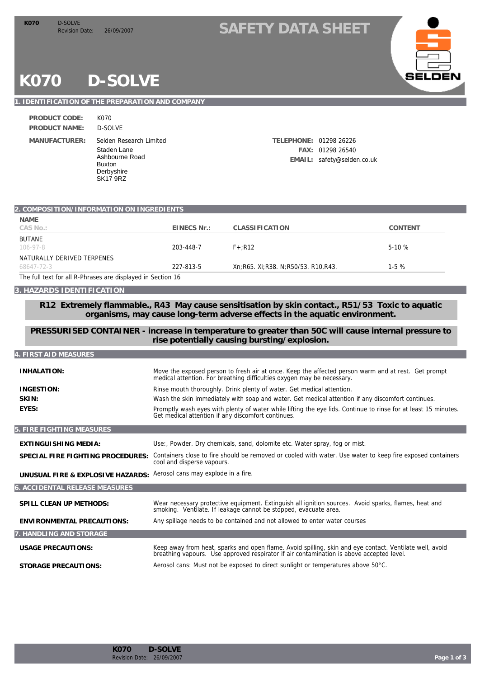### Revision Date: 26/09/2007 **SAFETY DATA SHEET K070**



# **K070 D-SOLVE**

### **1. IDENTIFICATION OF THE PREPARATION AND COMPANY**

| PRODUCT CODE:        | K070                                                                                           |
|----------------------|------------------------------------------------------------------------------------------------|
| <b>PRODUCT NAME:</b> | D-SOI VE                                                                                       |
| MANUFACTURER:        | Selden Research Li<br>Staden Lane<br>Ashbourne Road<br>Buxton<br>Derbyshire<br><b>SK17 9RZ</b> |

Selden Research Limited **TELEPHONE:** 01298 26226 **FAX:** 01298 26540 **EMAIL:** safety@selden.co.uk

| 2. COMPOSITION/INFORMATION ON INGREDIENTS                   |                                                                                                                                                                               |                                                                                                                                                                                                     |                |
|-------------------------------------------------------------|-------------------------------------------------------------------------------------------------------------------------------------------------------------------------------|-----------------------------------------------------------------------------------------------------------------------------------------------------------------------------------------------------|----------------|
| <b>NAME</b>                                                 |                                                                                                                                                                               |                                                                                                                                                                                                     |                |
| CAS No.:                                                    | EINECS Nr.:                                                                                                                                                                   | <b>CLASSIFICATION</b>                                                                                                                                                                               | <b>CONTENT</b> |
| <b>BUTANE</b><br>$106 - 97 - 8$                             | 203-448-7                                                                                                                                                                     | $F + R12$                                                                                                                                                                                           | $5-10%$        |
| NATURALLY DERIVED TERPENES                                  |                                                                                                                                                                               |                                                                                                                                                                                                     |                |
| 68647-72-3                                                  | 227-813-5                                                                                                                                                                     | Xn;R65. Xi;R38. N;R50/53. R10,R43.                                                                                                                                                                  | $1-5%$         |
| The full text for all R-Phrases are displayed in Section 16 |                                                                                                                                                                               |                                                                                                                                                                                                     |                |
| 3. HAZARDS IDENTIFICATION                                   |                                                                                                                                                                               |                                                                                                                                                                                                     |                |
|                                                             |                                                                                                                                                                               | R12 Extremely flammable., R43 May cause sensitisation by skin contact., R51/53 Toxic to aquatic<br>organisms, may cause long-term adverse effects in the aquatic environment.                       |                |
|                                                             |                                                                                                                                                                               | PRESSURISED CONTAINER - increase in temperature to greater than 50C will cause internal pressure to<br>rise potentially causing bursting/explosion.                                                 |                |
| 4. FIRST AID MEASURES                                       |                                                                                                                                                                               |                                                                                                                                                                                                     |                |
| <b>INHALATION:</b>                                          | Move the exposed person to fresh air at once. Keep the affected person warm and at rest. Get prompt<br>medical attention. For breathing difficulties oxygen may be necessary. |                                                                                                                                                                                                     |                |
| <b>INGESTION:</b>                                           | Rinse mouth thoroughly. Drink plenty of water. Get medical attention.                                                                                                         |                                                                                                                                                                                                     |                |
| SKIN:                                                       | Wash the skin immediately with soap and water. Get medical attention if any discomfort continues.                                                                             |                                                                                                                                                                                                     |                |
| EYES:                                                       | Get medical attention if any discomfort continues.                                                                                                                            | Promptly wash eyes with plenty of water while lifting the eye lids. Continue to rinse for at least 15 minutes.                                                                                      |                |
| 5. FIRE FIGHTING MEASURES                                   |                                                                                                                                                                               |                                                                                                                                                                                                     |                |
| EXTINGUISHING MEDIA:                                        |                                                                                                                                                                               | Use:, Powder. Dry chemicals, sand, dolomite etc. Water spray, fog or mist.                                                                                                                          |                |
| SPECIAL FIRE FIGHTING PROCEDURES:                           | Containers close to fire should be removed or cooled with water. Use water to keep fire exposed containers<br>cool and disperse vapours.                                      |                                                                                                                                                                                                     |                |
| UNUSUAL FIRE & EXPLOSIVE HAZARDS:                           | Aerosol cans may explode in a fire.                                                                                                                                           |                                                                                                                                                                                                     |                |
| 6. ACCI DENTAL RELEASE MEASURES                             |                                                                                                                                                                               |                                                                                                                                                                                                     |                |
| SPILL CLEAN UP METHODS:                                     |                                                                                                                                                                               | Wear necessary protective equipment. Extinguish all ignition sources. Avoid sparks, flames, heat and<br>smoking. Ventilate. If leakage cannot be stopped, evacuate area.                            |                |
| ENVIRONMENTAL PRECAUTIONS:                                  |                                                                                                                                                                               | Any spillage needs to be contained and not allowed to enter water courses                                                                                                                           |                |
| 7. HANDLING AND STORAGE                                     |                                                                                                                                                                               |                                                                                                                                                                                                     |                |
| <b>USAGE PRECAUTIONS:</b>                                   |                                                                                                                                                                               | Keep away from heat, sparks and open flame. Avoid spilling, skin and eye contact. Ventilate well, avoid<br>breathing vapours. Use approved respirator if air contamination is above accepted level. |                |
| <b>STORAGE PRECAUTIONS:</b>                                 |                                                                                                                                                                               | Aerosol cans: Must not be exposed to direct sunlight or temperatures above 50°C.                                                                                                                    |                |
|                                                             |                                                                                                                                                                               |                                                                                                                                                                                                     |                |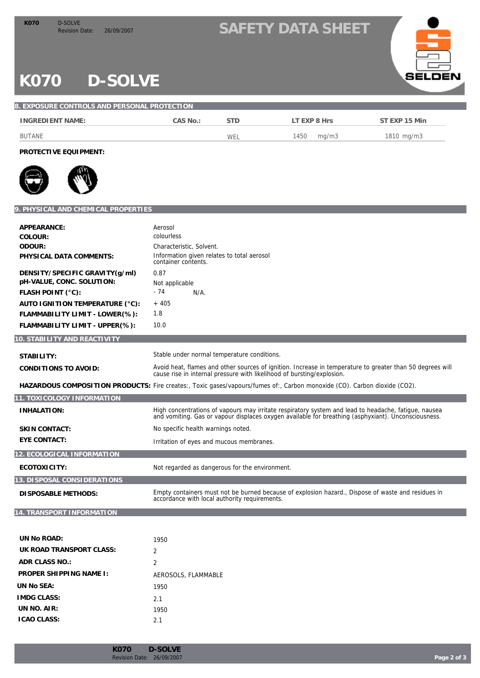## Revision Date: 26/09/2007 **SAFETY DATA SHEET K070**



# **K070 D-SOLVE**

| 8. EXPOSURE CONTROLS AND PERSONAL PROTECTION. |          |            |               |               |
|-----------------------------------------------|----------|------------|---------------|---------------|
| INGREDIENT NAME:                              | CAS No.: | <b>STD</b> | LT EXP 8 Hrs  | ST EXP 15 Min |
| BUTANE                                        |          | WEL        | mg/m3<br>1450 | 1810 mg/m3    |

**PROTECTIVE EQUIPMENT:**



#### **9. PHYSICAL AND CHEMICAL PROPERTIES**

| APPEARANCE:                                                                      | Aerosol                                                                                                                                                                                                     |
|----------------------------------------------------------------------------------|-------------------------------------------------------------------------------------------------------------------------------------------------------------------------------------------------------------|
| COLOUR:                                                                          | colourless                                                                                                                                                                                                  |
| ODOUR:                                                                           | Characteristic, Solvent.                                                                                                                                                                                    |
| PHYSICAL DATA COMMENTS:                                                          | Information given relates to total aerosol<br>container contents.                                                                                                                                           |
| DENSITY/SPECIFIC GRAVITY(g/ml)<br>pH-VALUE, CONC. SOLUTION:<br>FLASH POINT (°C): | 0.87<br>Not applicable<br>$-74$<br>$N/A$ .                                                                                                                                                                  |
| AUTO IGNITION TEMPERATURE (°C):                                                  | $+405$                                                                                                                                                                                                      |
| FLAMMABILITY LIMIT - LOWER(%):                                                   | 1.8                                                                                                                                                                                                         |
|                                                                                  |                                                                                                                                                                                                             |
| FLAMMABILITY LIMIT - UPPER(%):                                                   | 10.0                                                                                                                                                                                                        |
| 10. STABILITY AND REACTIVITY                                                     |                                                                                                                                                                                                             |
|                                                                                  |                                                                                                                                                                                                             |
| STABILITY:                                                                       | Stable under normal temperature conditions.                                                                                                                                                                 |
| CONDITIONS TO AVOID:                                                             | Avoid heat, flames and other sources of ignition. Increase in temperature to greater than 50 degrees will<br>cause rise in internal pressure with likelihood of bursting/explosion.                         |
|                                                                                  | HAZARDOUS COMPOSITION PRODUCTS: Fire creates:, Toxic gases/vapours/fumes of:, Carbon monoxide (CO). Carbon dioxide (CO2).                                                                                   |
| 11. TOXICOLOGY INFORMATION                                                       |                                                                                                                                                                                                             |
| <b>INHALATION:</b>                                                               | High concentrations of vapours may irritate respiratory system and lead to headache, fatigue, nausea<br>and vomiting. Gas or vapour displaces oxygen available for breathing (asphyxiant). Unconsciousness. |
| <b>SKIN CONTACT:</b>                                                             | No specific health warnings noted.                                                                                                                                                                          |
| <b>EYE CONTACT:</b>                                                              | Irritation of eyes and mucous membranes.                                                                                                                                                                    |
| 12. ECOLOGICAL INFORMATION                                                       |                                                                                                                                                                                                             |
| ECOTOXICITY:                                                                     | Not regarded as dangerous for the environment.                                                                                                                                                              |
| 13. DISPOSAL CONSIDERATIONS                                                      |                                                                                                                                                                                                             |
| <b>DISPOSABLE METHODS:</b>                                                       | Empty containers must not be burned because of explosion hazard., Dispose of waste and residues in<br>accordance with local authority requirements.                                                         |
| 14. TRANSPORT INFORMATION                                                        |                                                                                                                                                                                                             |

| UN No ROAD:              | 1950                |
|--------------------------|---------------------|
| UK ROAD TRANSPORT CLASS: | $\mathcal{P}$       |
| ADR CLASS NO.:           | 2                   |
| PROPER SHIPPING NAME I:  | AEROSOLS, FLAMMABLE |
| UN No SEA:               | 1950                |
| <b>IMDG CLASS:</b>       | 2.1                 |
| UN NO. AIR:              | 1950                |
| <b>ICAO CLASS:</b>       | 2.1                 |
|                          |                     |